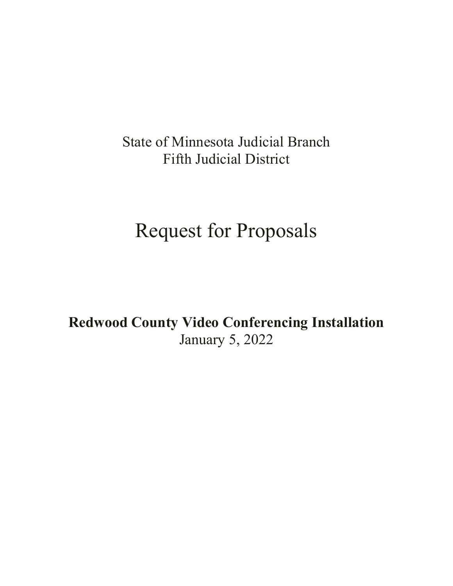# State of Minnesota Judicial Branch Fifth Judicial District

# Request for Proposals

**Redwood County Video Conferencing Installation** January 5, 2022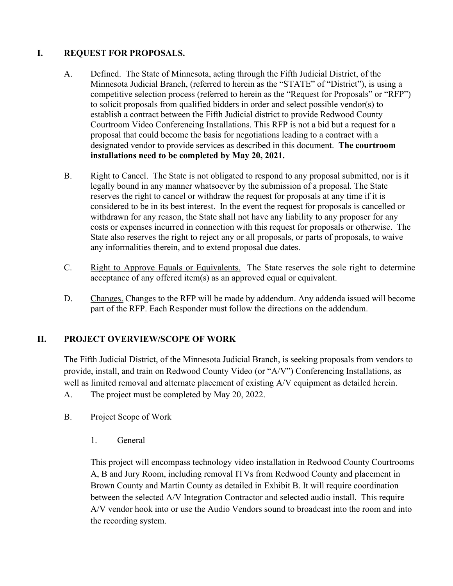# **I. REQUEST FOR PROPOSALS.**

- A. Defined. The State of Minnesota, acting through the Fifth Judicial District, of the Minnesota Judicial Branch, (referred to herein as the "STATE" of "District"), is using a competitive selection process (referred to herein as the "Request for Proposals" or "RFP") to solicit proposals from qualified bidders in order and select possible vendor(s) to establish a contract between the Fifth Judicial district to provide Redwood County Courtroom Video Conferencing Installations. This RFP is not a bid but a request for a proposal that could become the basis for negotiations leading to a contract with a designated vendor to provide services as described in this document. **The courtroom installations need to be completed by May 20, 2021.**
- B. Right to Cancel. The State is not obligated to respond to any proposal submitted, nor is it legally bound in any manner whatsoever by the submission of a proposal. The State reserves the right to cancel or withdraw the request for proposals at any time if it is considered to be in its best interest. In the event the request for proposals is cancelled or withdrawn for any reason, the State shall not have any liability to any proposer for any costs or expenses incurred in connection with this request for proposals or otherwise. The State also reserves the right to reject any or all proposals, or parts of proposals, to waive any informalities therein, and to extend proposal due dates.
- C. Right to Approve Equals or Equivalents. The State reserves the sole right to determine acceptance of any offered item(s) as an approved equal or equivalent.
- D. Changes. Changes to the RFP will be made by addendum. Any addenda issued will become part of the RFP. Each Responder must follow the directions on the addendum.

# **II. PROJECT OVERVIEW/SCOPE OF WORK**

The Fifth Judicial District, of the Minnesota Judicial Branch, is seeking proposals from vendors to provide, install, and train on Redwood County Video (or "A/V") Conferencing Installations, as well as limited removal and alternate placement of existing A/V equipment as detailed herein.

A. The project must be completed by May 20, 2022.

- B. Project Scope of Work
	- 1. General

This project will encompass technology video installation in Redwood County Courtrooms A, B and Jury Room, including removal ITVs from Redwood County and placement in Brown County and Martin County as detailed in Exhibit B. It will require coordination between the selected A/V Integration Contractor and selected audio install. This require A/V vendor hook into or use the Audio Vendors sound to broadcast into the room and into the recording system.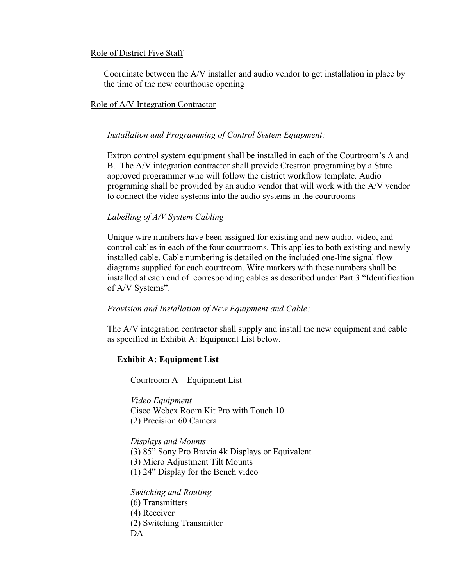#### Role of District Five Staff

Coordinate between the A/V installer and audio vendor to get installation in place by the time of the new courthouse opening

#### Role of A/V Integration Contractor

#### *Installation and Programming of Control System Equipment:*

Extron control system equipment shall be installed in each of the Courtroom's A and B. The A/V integration contractor shall provide Crestron programing by a State approved programmer who will follow the district workflow template. Audio programing shall be provided by an audio vendor that will work with the A/V vendor to connect the video systems into the audio systems in the courtrooms

#### *Labelling of A/V System Cabling*

Unique wire numbers have been assigned for existing and new audio, video, and control cables in each of the four courtrooms. This applies to both existing and newly installed cable. Cable numbering is detailed on the included one-line signal flow diagrams supplied for each courtroom. Wire markers with these numbers shall be installed at each end of corresponding cables as described under Part 3 "Identification of A/V Systems".

#### *Provision and Installation of New Equipment and Cable:*

The A/V integration contractor shall supply and install the new equipment and cable as specified in Exhibit A: Equipment List below.

## **Exhibit A: Equipment List**

Courtroom A – Equipment List

*Video Equipment* Cisco Webex Room Kit Pro with Touch 10 (2) Precision 60 Camera

*Displays and Mounts* 

(3) 85" Sony Pro Bravia 4k Displays or Equivalent

(3) Micro Adjustment Tilt Mounts

(1) 24" Display for the Bench video

#### *Switching and Routing*

- (6) Transmitters
- (4) Receiver
- (2) Switching Transmitter
- DA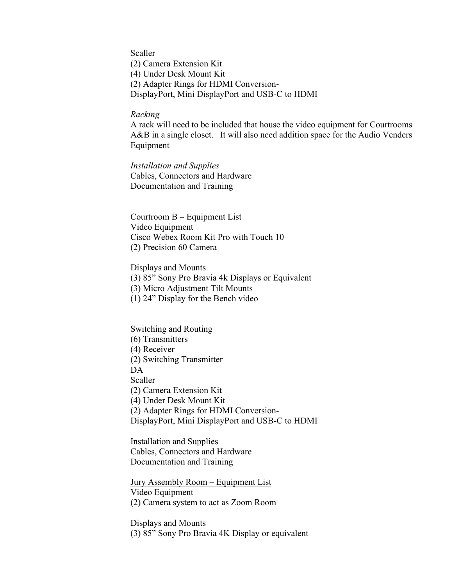Scaller (2) Camera Extension Kit (4) Under Desk Mount Kit (2) Adapter Rings for HDMI Conversion-DisplayPort, Mini DisplayPort and USB-C to HDMI

#### *Racking*

A rack will need to be included that house the video equipment for Courtrooms A&B in a single closet. It will also need addition space for the Audio Venders Equipment

*Installation and Supplies* Cables, Connectors and Hardware Documentation and Training

Courtroom B – Equipment List Video Equipment Cisco Webex Room Kit Pro with Touch 10 (2) Precision 60 Camera

Displays and Mounts

(3) 85" Sony Pro Bravia 4k Displays or Equivalent

(3) Micro Adjustment Tilt Mounts

(1) 24" Display for the Bench video

Switching and Routing (6) Transmitters (4) Receiver (2) Switching Transmitter DA Scaller (2) Camera Extension Kit (4) Under Desk Mount Kit (2) Adapter Rings for HDMI Conversion-DisplayPort, Mini DisplayPort and USB-C to HDMI

Installation and Supplies Cables, Connectors and Hardware Documentation and Training

Jury Assembly Room – Equipment List Video Equipment (2) Camera system to act as Zoom Room

Displays and Mounts (3) 85" Sony Pro Bravia 4K Display or equivalent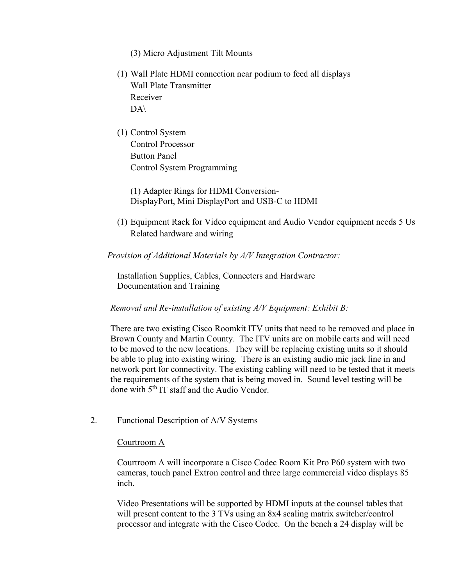- (3) Micro Adjustment Tilt Mounts
- (1) Wall Plate HDMI connection near podium to feed all displays Wall Plate Transmitter Receiver  $DA\setminus$
- (1) Control System Control Processor Button Panel Control System Programming

(1) Adapter Rings for HDMI Conversion-DisplayPort, Mini DisplayPort and USB-C to HDMI

(1) Equipment Rack for Video equipment and Audio Vendor equipment needs 5 Us Related hardware and wiring

*Provision of Additional Materials by A/V Integration Contractor:*

Installation Supplies, Cables, Connecters and Hardware Documentation and Training

*Removal and Re-installation of existing A/V Equipment: Exhibit B:*

There are two existing Cisco Roomkit ITV units that need to be removed and place in Brown County and Martin County. The ITV units are on mobile carts and will need to be moved to the new locations. They will be replacing existing units so it should be able to plug into existing wiring. There is an existing audio mic jack line in and network port for connectivity. The existing cabling will need to be tested that it meets the requirements of the system that is being moved in. Sound level testing will be done with 5<sup>th</sup> IT staff and the Audio Vendor.

2. Functional Description of A/V Systems

#### Courtroom A

Courtroom A will incorporate a Cisco Codec Room Kit Pro P60 system with two cameras, touch panel Extron control and three large commercial video displays 85 inch.

Video Presentations will be supported by HDMI inputs at the counsel tables that will present content to the 3 TVs using an 8x4 scaling matrix switcher/control processor and integrate with the Cisco Codec. On the bench a 24 display will be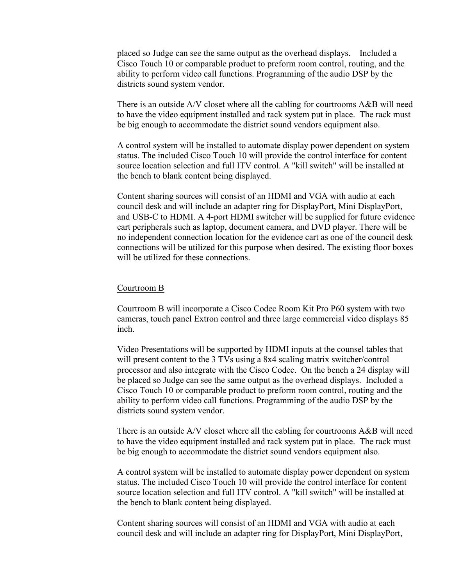placed so Judge can see the same output as the overhead displays. Included a Cisco Touch 10 or comparable product to preform room control, routing, and the ability to perform video call functions. Programming of the audio DSP by the districts sound system vendor.

There is an outside A/V closet where all the cabling for courtrooms A&B will need to have the video equipment installed and rack system put in place. The rack must be big enough to accommodate the district sound vendors equipment also.

A control system will be installed to automate display power dependent on system status. The included Cisco Touch 10 will provide the control interface for content source location selection and full ITV control. A "kill switch" will be installed at the bench to blank content being displayed.

Content sharing sources will consist of an HDMI and VGA with audio at each council desk and will include an adapter ring for DisplayPort, Mini DisplayPort, and USB-C to HDMI. A 4-port HDMI switcher will be supplied for future evidence cart peripherals such as laptop, document camera, and DVD player. There will be no independent connection location for the evidence cart as one of the council desk connections will be utilized for this purpose when desired. The existing floor boxes will be utilized for these connections.

#### Courtroom B

Courtroom B will incorporate a Cisco Codec Room Kit Pro P60 system with two cameras, touch panel Extron control and three large commercial video displays 85 inch.

Video Presentations will be supported by HDMI inputs at the counsel tables that will present content to the 3 TVs using a 8x4 scaling matrix switcher/control processor and also integrate with the Cisco Codec. On the bench a 24 display will be placed so Judge can see the same output as the overhead displays. Included a Cisco Touch 10 or comparable product to preform room control, routing and the ability to perform video call functions. Programming of the audio DSP by the districts sound system vendor.

There is an outside A/V closet where all the cabling for courtrooms A&B will need to have the video equipment installed and rack system put in place. The rack must be big enough to accommodate the district sound vendors equipment also.

A control system will be installed to automate display power dependent on system status. The included Cisco Touch 10 will provide the control interface for content source location selection and full ITV control. A "kill switch" will be installed at the bench to blank content being displayed.

Content sharing sources will consist of an HDMI and VGA with audio at each council desk and will include an adapter ring for DisplayPort, Mini DisplayPort,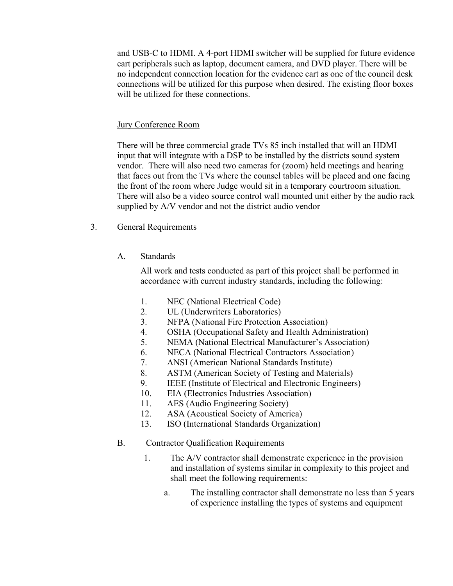and USB-C to HDMI. A 4-port HDMI switcher will be supplied for future evidence cart peripherals such as laptop, document camera, and DVD player. There will be no independent connection location for the evidence cart as one of the council desk connections will be utilized for this purpose when desired. The existing floor boxes will be utilized for these connections.

#### Jury Conference Room

There will be three commercial grade TVs 85 inch installed that will an HDMI input that will integrate with a DSP to be installed by the districts sound system vendor. There will also need two cameras for (zoom) held meetings and hearing that faces out from the TVs where the counsel tables will be placed and one facing the front of the room where Judge would sit in a temporary courtroom situation. There will also be a video source control wall mounted unit either by the audio rack supplied by A/V vendor and not the district audio vendor

- 3. General Requirements
	- A. Standards

All work and tests conducted as part of this project shall be performed in accordance with current industry standards, including the following:

- 1. NEC (National Electrical Code)
- 2. UL (Underwriters Laboratories)
- 3. NFPA (National Fire Protection Association)
- 4. OSHA (Occupational Safety and Health Administration)
- 5. NEMA (National Electrical Manufacturer's Association)
- 6. NECA (National Electrical Contractors Association)
- 7. ANSI (American National Standards Institute)
- 8. ASTM (American Society of Testing and Materials)
- 9. IEEE (Institute of Electrical and Electronic Engineers)
- 10. EIA (Electronics Industries Association)
- 11. AES (Audio Engineering Society)
- 12. ASA (Acoustical Society of America)
- 13. ISO (International Standards Organization)
- B. Contractor Qualification Requirements
	- 1. The A/V contractor shall demonstrate experience in the provision and installation of systems similar in complexity to this project and shall meet the following requirements:
		- a. The installing contractor shall demonstrate no less than 5 years of experience installing the types of systems and equipment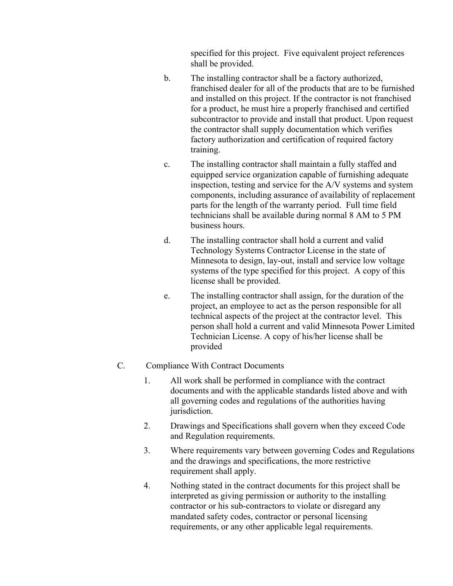specified for this project. Five equivalent project references shall be provided.

- b. The installing contractor shall be a factory authorized, franchised dealer for all of the products that are to be furnished and installed on this project. If the contractor is not franchised for a product, he must hire a properly franchised and certified subcontractor to provide and install that product. Upon request the contractor shall supply documentation which verifies factory authorization and certification of required factory training.
- c. The installing contractor shall maintain a fully staffed and equipped service organization capable of furnishing adequate inspection, testing and service for the A/V systems and system components, including assurance of availability of replacement parts for the length of the warranty period. Full time field technicians shall be available during normal 8 AM to 5 PM business hours.
- d. The installing contractor shall hold a current and valid Technology Systems Contractor License in the state of Minnesota to design, lay-out, install and service low voltage systems of the type specified for this project. A copy of this license shall be provided.
- e. The installing contractor shall assign, for the duration of the project, an employee to act as the person responsible for all technical aspects of the project at the contractor level. This person shall hold a current and valid Minnesota Power Limited Technician License. A copy of his/her license shall be provided

#### C. Compliance With Contract Documents

- 1. All work shall be performed in compliance with the contract documents and with the applicable standards listed above and with all governing codes and regulations of the authorities having jurisdiction.
- 2. Drawings and Specifications shall govern when they exceed Code and Regulation requirements.
- 3. Where requirements vary between governing Codes and Regulations and the drawings and specifications, the more restrictive requirement shall apply.
- 4. Nothing stated in the contract documents for this project shall be interpreted as giving permission or authority to the installing contractor or his sub-contractors to violate or disregard any mandated safety codes, contractor or personal licensing requirements, or any other applicable legal requirements.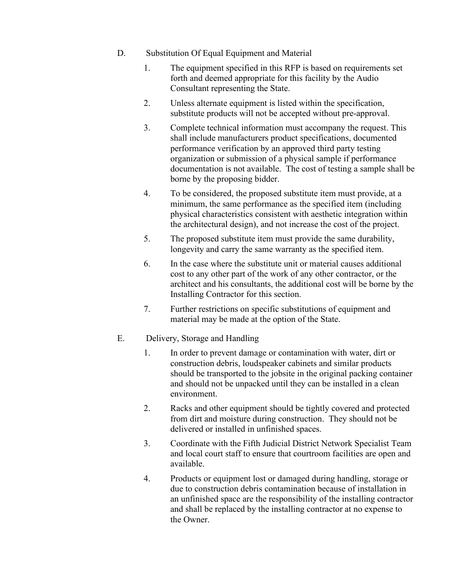- D. Substitution Of Equal Equipment and Material
	- 1. The equipment specified in this RFP is based on requirements set forth and deemed appropriate for this facility by the Audio Consultant representing the State.
	- 2. Unless alternate equipment is listed within the specification, substitute products will not be accepted without pre-approval.
	- 3. Complete technical information must accompany the request. This shall include manufacturers product specifications, documented performance verification by an approved third party testing organization or submission of a physical sample if performance documentation is not available. The cost of testing a sample shall be borne by the proposing bidder.
	- 4. To be considered, the proposed substitute item must provide, at a minimum, the same performance as the specified item (including physical characteristics consistent with aesthetic integration within the architectural design), and not increase the cost of the project.
	- 5. The proposed substitute item must provide the same durability, longevity and carry the same warranty as the specified item.
	- 6. In the case where the substitute unit or material causes additional cost to any other part of the work of any other contractor, or the architect and his consultants, the additional cost will be borne by the Installing Contractor for this section.
	- 7. Further restrictions on specific substitutions of equipment and material may be made at the option of the State.
- E. Delivery, Storage and Handling
	- 1. In order to prevent damage or contamination with water, dirt or construction debris, loudspeaker cabinets and similar products should be transported to the jobsite in the original packing container and should not be unpacked until they can be installed in a clean environment.
	- 2. Racks and other equipment should be tightly covered and protected from dirt and moisture during construction. They should not be delivered or installed in unfinished spaces.
	- 3. Coordinate with the Fifth Judicial District Network Specialist Team and local court staff to ensure that courtroom facilities are open and available.
	- 4. Products or equipment lost or damaged during handling, storage or due to construction debris contamination because of installation in an unfinished space are the responsibility of the installing contractor and shall be replaced by the installing contractor at no expense to the Owner.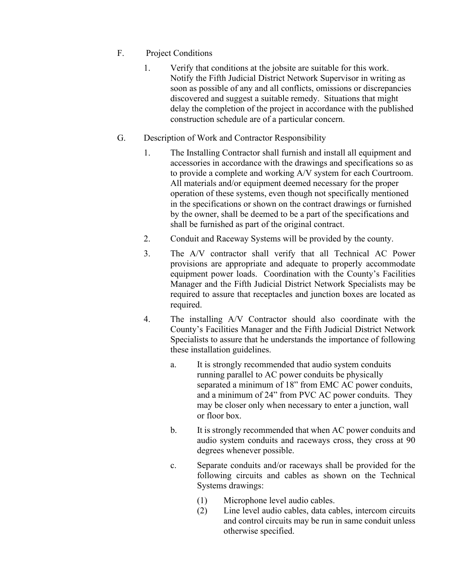- F. Project Conditions
	- 1. Verify that conditions at the jobsite are suitable for this work. Notify the Fifth Judicial District Network Supervisor in writing as soon as possible of any and all conflicts, omissions or discrepancies discovered and suggest a suitable remedy. Situations that might delay the completion of the project in accordance with the published construction schedule are of a particular concern.
- G. Description of Work and Contractor Responsibility
	- 1. The Installing Contractor shall furnish and install all equipment and accessories in accordance with the drawings and specifications so as to provide a complete and working A/V system for each Courtroom. All materials and/or equipment deemed necessary for the proper operation of these systems, even though not specifically mentioned in the specifications or shown on the contract drawings or furnished by the owner, shall be deemed to be a part of the specifications and shall be furnished as part of the original contract.
	- 2. Conduit and Raceway Systems will be provided by the county.
	- 3. The A/V contractor shall verify that all Technical AC Power provisions are appropriate and adequate to properly accommodate equipment power loads. Coordination with the County's Facilities Manager and the Fifth Judicial District Network Specialists may be required to assure that receptacles and junction boxes are located as required.
	- 4. The installing A/V Contractor should also coordinate with the County's Facilities Manager and the Fifth Judicial District Network Specialists to assure that he understands the importance of following these installation guidelines.
		- a. It is strongly recommended that audio system conduits running parallel to AC power conduits be physically separated a minimum of 18" from EMC AC power conduits, and a minimum of 24" from PVC AC power conduits. They may be closer only when necessary to enter a junction, wall or floor box.
		- b. It is strongly recommended that when AC power conduits and audio system conduits and raceways cross, they cross at 90 degrees whenever possible.
		- c. Separate conduits and/or raceways shall be provided for the following circuits and cables as shown on the Technical Systems drawings:
			- (1) Microphone level audio cables.
			- (2) Line level audio cables, data cables, intercom circuits and control circuits may be run in same conduit unless otherwise specified.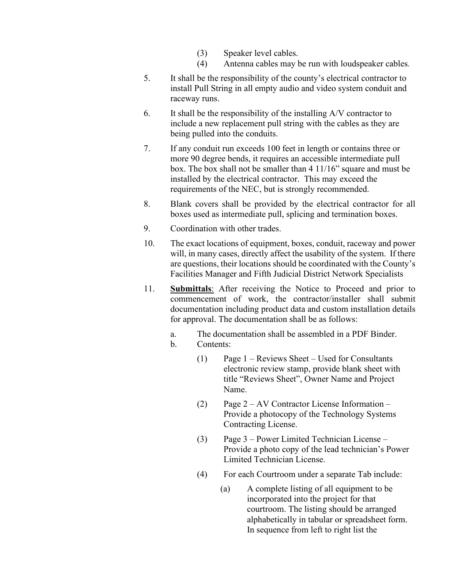- (3) Speaker level cables.
- (4) Antenna cables may be run with loudspeaker cables*.*
- 5. It shall be the responsibility of the county's electrical contractor to install Pull String in all empty audio and video system conduit and raceway runs.
- 6. It shall be the responsibility of the installing A/V contractor to include a new replacement pull string with the cables as they are being pulled into the conduits.
- 7. If any conduit run exceeds 100 feet in length or contains three or more 90 degree bends, it requires an accessible intermediate pull box. The box shall not be smaller than 4 11/16" square and must be installed by the electrical contractor. This may exceed the requirements of the NEC, but is strongly recommended.
- 8. Blank covers shall be provided by the electrical contractor for all boxes used as intermediate pull, splicing and termination boxes.
- 9. Coordination with other trades.
- 10. The exact locations of equipment, boxes, conduit, raceway and power will, in many cases, directly affect the usability of the system. If there are questions, their locations should be coordinated with the County's Facilities Manager and Fifth Judicial District Network Specialists
- 11. **Submittals**: After receiving the Notice to Proceed and prior to commencement of work, the contractor/installer shall submit documentation including product data and custom installation details for approval. The documentation shall be as follows:
	- a. The documentation shall be assembled in a PDF Binder.
	- b. Contents:
		- (1) Page 1 Reviews Sheet Used for Consultants electronic review stamp, provide blank sheet with title "Reviews Sheet", Owner Name and Project Name.
		- (2) Page 2 AV Contractor License Information Provide a photocopy of the Technology Systems Contracting License.
		- (3) Page 3 Power Limited Technician License Provide a photo copy of the lead technician's Power Limited Technician License.
		- (4) For each Courtroom under a separate Tab include:
			- (a) A complete listing of all equipment to be incorporated into the project for that courtroom. The listing should be arranged alphabetically in tabular or spreadsheet form. In sequence from left to right list the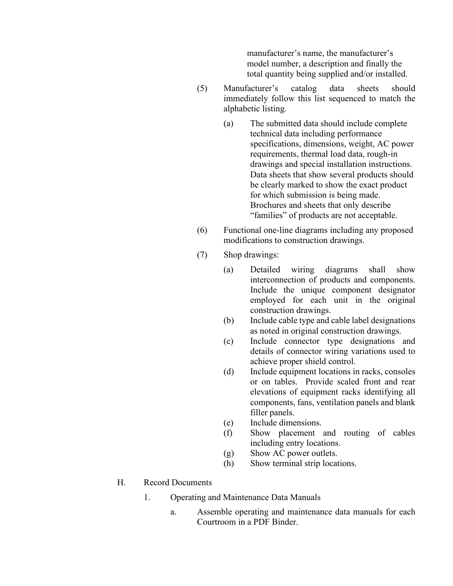manufacturer's name, the manufacturer's model number, a description and finally the total quantity being supplied and/or installed.

- (5) Manufacturer's catalog data sheets should immediately follow this list sequenced to match the alphabetic listing*.* 
	- (a) The submitted data should include complete technical data including performance specifications, dimensions, weight, AC power requirements, thermal load data, rough-in drawings and special installation instructions. Data sheets that show several products should be clearly marked to show the exact product for which submission is being made. Brochures and sheets that only describe "families" of products are not acceptable.
- (6) Functional one-line diagrams including any proposed modifications to construction drawings.
- (7) Shop drawings:
	- (a) Detailed wiring diagrams shall show interconnection of products and components. Include the unique component designator employed for each unit in the original construction drawings.
	- (b) Include cable type and cable label designations as noted in original construction drawings.
	- (c) Include connector type designations and details of connector wiring variations used to achieve proper shield control.
	- (d) Include equipment locations in racks, consoles or on tables. Provide scaled front and rear elevations of equipment racks identifying all components, fans, ventilation panels and blank filler panels.
	- (e) Include dimensions.
	- (f) Show placement and routing of cables including entry locations.
	- (g) Show AC power outlets.
	- (h) Show terminal strip locations.

## H. Record Documents

- 1. Operating and Maintenance Data Manuals
	- a. Assemble operating and maintenance data manuals for each Courtroom in a PDF Binder.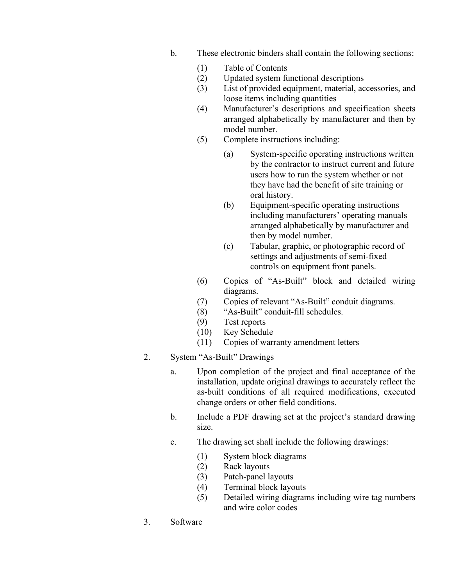- b. These electronic binders shall contain the following sections:
	- (1) Table of Contents
	- (2) Updated system functional descriptions
	- (3) List of provided equipment, material, accessories, and loose items including quantities
	- (4) Manufacturer's descriptions and specification sheets arranged alphabetically by manufacturer and then by model number.
	- (5) Complete instructions including:
		- (a) System-specific operating instructions written by the contractor to instruct current and future users how to run the system whether or not they have had the benefit of site training or oral history.
		- (b) Equipment-specific operating instructions including manufacturers' operating manuals arranged alphabetically by manufacturer and then by model number.
		- (c) Tabular, graphic, or photographic record of settings and adjustments of semi-fixed controls on equipment front panels.
	- (6) Copies of "As-Built" block and detailed wiring diagrams.
	- (7) Copies of relevant "As-Built" conduit diagrams.
	- (8) "As-Built" conduit-fill schedules.
	- (9) Test reports
	- (10) Key Schedule
	- (11) Copies of warranty amendment letters
- 2. System "As-Built" Drawings
	- a. Upon completion of the project and final acceptance of the installation, update original drawings to accurately reflect the as-built conditions of all required modifications, executed change orders or other field conditions.
	- b. Include a PDF drawing set at the project's standard drawing size.
	- c. The drawing set shall include the following drawings:
		- (1) System block diagrams
		- (2) Rack layouts
		- (3) Patch-panel layouts
		- (4) Terminal block layouts
		- (5) Detailed wiring diagrams including wire tag numbers and wire color codes
- 3. Software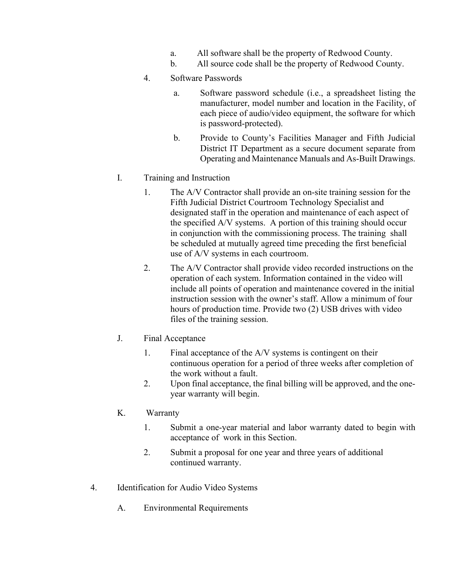- a. All software shall be the property of Redwood County.
- b. All source code shall be the property of Redwood County.
- 4. Software Passwords
	- a. Software password schedule (i.e., a spreadsheet listing the manufacturer, model number and location in the Facility, of each piece of audio/video equipment, the software for which is password-protected).
	- b. Provide to County's Facilities Manager and Fifth Judicial District IT Department as a secure document separate from Operating and Maintenance Manuals and As-Built Drawings.
- I. Training and Instruction
	- 1. The A/V Contractor shall provide an on-site training session for the Fifth Judicial District Courtroom Technology Specialist and designated staff in the operation and maintenance of each aspect of the specified A/V systems. A portion of this training should occur in conjunction with the commissioning process. The training shall be scheduled at mutually agreed time preceding the first beneficial use of A/V systems in each courtroom.
	- 2. The A/V Contractor shall provide video recorded instructions on the operation of each system. Information contained in the video will include all points of operation and maintenance covered in the initial instruction session with the owner's staff. Allow a minimum of four hours of production time. Provide two (2) USB drives with video files of the training session.
- J. Final Acceptance
	- 1. Final acceptance of the A/V systems is contingent on their continuous operation for a period of three weeks after completion of the work without a fault.
	- 2. Upon final acceptance, the final billing will be approved, and the oneyear warranty will begin.
- K. Warranty
	- 1. Submit a one-year material and labor warranty dated to begin with acceptance of work in this Section.
	- 2. Submit a proposal for one year and three years of additional continued warranty.
- 4. Identification for Audio Video Systems
	- A. Environmental Requirements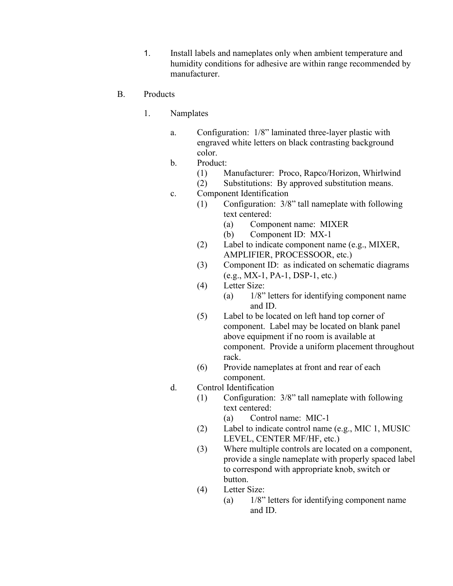1. Install labels and nameplates only when ambient temperature and humidity conditions for adhesive are within range recommended by manufacturer.

#### B. Products

- 1. Namplates
	- a. Configuration: 1/8" laminated three-layer plastic with engraved white letters on black contrasting background color.
	- b. Product:
		- (1) Manufacturer: Proco, Rapco/Horizon, Whirlwind
		- (2) Substitutions: By approved substitution means.
	- c. Component Identification
		- (1) Configuration: 3/8" tall nameplate with following text centered:
			- (a) Component name: MIXER
			- (b) Component ID: MX-1
			- (2) Label to indicate component name (e.g., MIXER, AMPLIFIER, PROCESSOOR, etc.)
			- (3) Component ID: as indicated on schematic diagrams (e.g., MX-1, PA-1, DSP-1, etc.)
			- (4) Letter Size:
				- (a) 1/8" letters for identifying component name and ID.
			- (5) Label to be located on left hand top corner of component. Label may be located on blank panel above equipment if no room is available at component. Provide a uniform placement throughout rack.
			- (6) Provide nameplates at front and rear of each component.
	- d. Control Identification
		- (1) Configuration: 3/8" tall nameplate with following text centered:
			- (a) Control name: MIC-1
		- (2) Label to indicate control name (e.g., MIC 1, MUSIC LEVEL, CENTER MF/HF, etc.)
		- (3) Where multiple controls are located on a component, provide a single nameplate with properly spaced label to correspond with appropriate knob, switch or button.
		- (4) Letter Size:
			- (a) 1/8" letters for identifying component name and ID.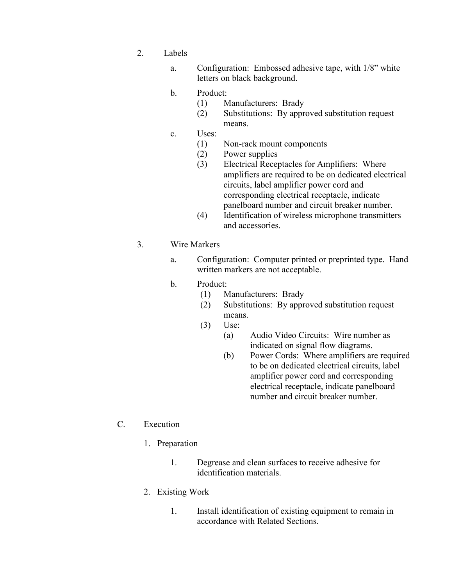- 2. Labels
	- a. Configuration: Embossed adhesive tape, with 1/8" white letters on black background.
	- b. Product:
		- (1) Manufacturers: Brady
		- (2) Substitutions: By approved substitution request means.
	- c. Uses:
		- (1) Non-rack mount components
		- (2) Power supplies
		- (3) Electrical Receptacles for Amplifiers: Where amplifiers are required to be on dedicated electrical circuits, label amplifier power cord and corresponding electrical receptacle, indicate panelboard number and circuit breaker number.
		- (4) Identification of wireless microphone transmitters and accessories.

#### 3. Wire Markers

- a. Configuration: Computer printed or preprinted type. Hand written markers are not acceptable.
- b. Product:
	- (1) Manufacturers: Brady
	- (2) Substitutions: By approved substitution request means.
	- (3) Use:
		- (a) Audio Video Circuits: Wire number as indicated on signal flow diagrams.
		- (b) Power Cords: Where amplifiers are required to be on dedicated electrical circuits, label amplifier power cord and corresponding electrical receptacle, indicate panelboard number and circuit breaker number.

#### C. Execution

- 1. Preparation
	- 1. Degrease and clean surfaces to receive adhesive for identification materials.
- 2. Existing Work
	- 1. Install identification of existing equipment to remain in accordance with Related Sections.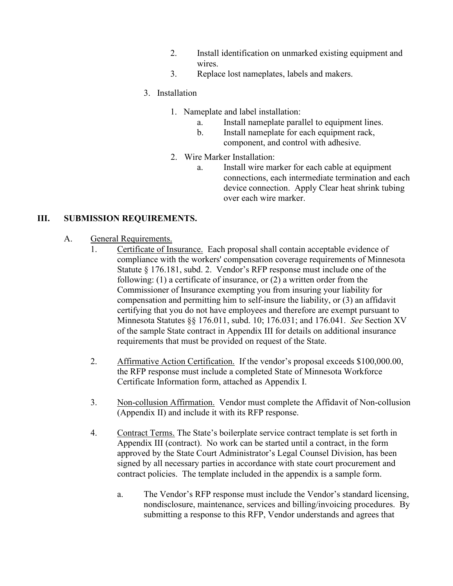- 2. Install identification on unmarked existing equipment and wires.
- 3. Replace lost nameplates, labels and makers.

# 3. Installation

- 1. Nameplate and label installation:
	- a. Install nameplate parallel to equipment lines.
	- b. Install nameplate for each equipment rack, component, and control with adhesive.
- 2. Wire Marker Installation:
	- a. Install wire marker for each cable at equipment connections, each intermediate termination and each device connection. Apply Clear heat shrink tubing over each wire marker.

# **III. SUBMISSION REQUIREMENTS.**

## A. General Requirements.

- 1. Certificate of Insurance. Each proposal shall contain acceptable evidence of compliance with the workers' compensation coverage requirements of Minnesota Statute § 176.181, subd. 2. Vendor's RFP response must include one of the following: (1) a certificate of insurance, or (2) a written order from the Commissioner of Insurance exempting you from insuring your liability for compensation and permitting him to self-insure the liability, or (3) an affidavit certifying that you do not have employees and therefore are exempt pursuant to Minnesota Statutes §§ 176.011, subd. 10; 176.031; and 176.041. *See* Section XV of the sample State contract in Appendix III for details on additional insurance requirements that must be provided on request of the State.
- 2. Affirmative Action Certification. If the vendor's proposal exceeds \$100,000.00, the RFP response must include a completed State of Minnesota Workforce Certificate Information form, attached as Appendix I.
- 3. Non-collusion Affirmation. Vendor must complete the Affidavit of Non-collusion (Appendix II) and include it with its RFP response.
- 4. Contract Terms. The State's boilerplate service contract template is set forth in Appendix III (contract). No work can be started until a contract, in the form approved by the State Court Administrator's Legal Counsel Division, has been signed by all necessary parties in accordance with state court procurement and contract policies. The template included in the appendix is a sample form.
	- a. The Vendor's RFP response must include the Vendor's standard licensing, nondisclosure, maintenance, services and billing/invoicing procedures. By submitting a response to this RFP, Vendor understands and agrees that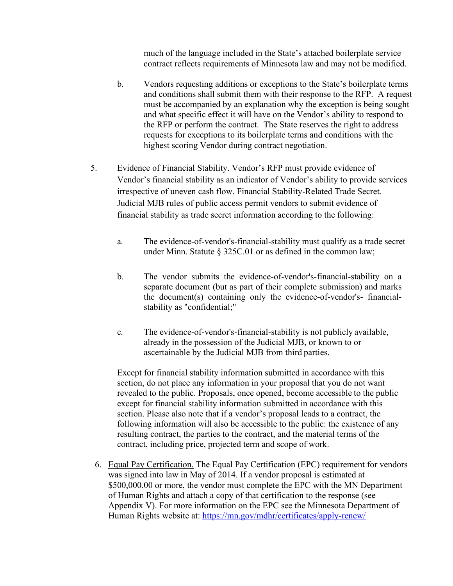much of the language included in the State's attached boilerplate service contract reflects requirements of Minnesota law and may not be modified.

- b. Vendors requesting additions or exceptions to the State's boilerplate terms and conditions shall submit them with their response to the RFP. A request must be accompanied by an explanation why the exception is being sought and what specific effect it will have on the Vendor's ability to respond to the RFP or perform the contract. The State reserves the right to address requests for exceptions to its boilerplate terms and conditions with the highest scoring Vendor during contract negotiation.
- 5. Evidence of Financial Stability. Vendor's RFP must provide evidence of Vendor's financial stability as an indicator of Vendor's ability to provide services irrespective of uneven cash flow. Financial Stability-Related Trade Secret. Judicial MJB rules of public access permit vendors to submit evidence of financial stability as trade secret information according to the following:
	- a. The evidence-of-vendor's-financial-stability must qualify as a trade secret under Minn. Statute § 325C.01 or as defined in the common law;
	- b. The vendor submits the evidence-of-vendor's-financial-stability on a separate document (but as part of their complete submission) and marks the document(s) containing only the evidence-of-vendor's- financialstability as "confidential;"
	- c. The evidence-of-vendor's-financial-stability is not publicly available, already in the possession of the Judicial MJB, or known to or ascertainable by the Judicial MJB from third parties.

Except for financial stability information submitted in accordance with this section, do not place any information in your proposal that you do not want revealed to the public. Proposals, once opened, become accessible to the public except for financial stability information submitted in accordance with this section. Please also note that if a vendor's proposal leads to a contract, the following information will also be accessible to the public: the existence of any resulting contract, the parties to the contract, and the material terms of the contract, including price, projected term and scope of work.

6. Equal Pay Certification. The Equal Pay Certification (EPC) requirement for vendors was signed into law in May of 2014. If a vendor proposal is estimated at \$500,000.00 or more, the vendor must complete the EPC with the MN Department of Human Rights and attach a copy of that certification to the response (see Appendix V). For more information on the EPC see the Minnesota Department of Human Rights website at:<https://mn.gov/mdhr/certificates/apply-renew/>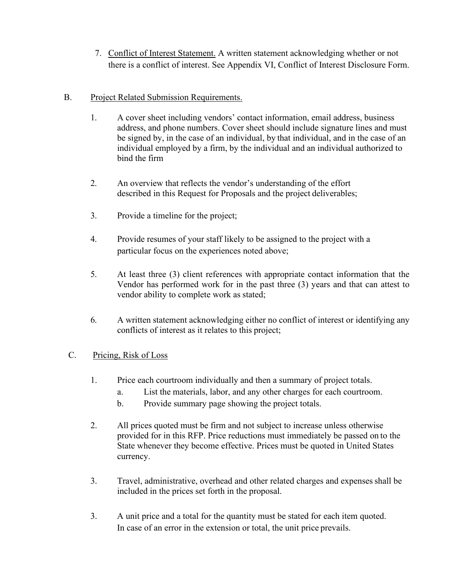7. Conflict of Interest Statement. A written statement acknowledging whether or not there is a conflict of interest. See Appendix VI, Conflict of Interest Disclosure Form.

# B. Project Related Submission Requirements.

- 1. A cover sheet including vendors' contact information, email address, business address, and phone numbers. Cover sheet should include signature lines and must be signed by, in the case of an individual, by that individual, and in the case of an individual employed by a firm, by the individual and an individual authorized to bind the firm
- 2. An overview that reflects the vendor's understanding of the effort described in this Request for Proposals and the project deliverables;
- 3. Provide a timeline for the project;
- 4. Provide resumes of your staff likely to be assigned to the project with a particular focus on the experiences noted above;
- 5. At least three (3) client references with appropriate contact information that the Vendor has performed work for in the past three (3) years and that can attest to vendor ability to complete work as stated;
- 6. A written statement acknowledging either no conflict of interest or identifying any conflicts of interest as it relates to this project;

## C. Pricing, Risk of Loss

- 1. Price each courtroom individually and then a summary of project totals.
	- a. List the materials, labor, and any other charges for each courtroom.
	- b. Provide summary page showing the project totals.
- 2. All prices quoted must be firm and not subject to increase unless otherwise provided for in this RFP. Price reductions must immediately be passed on to the State whenever they become effective. Prices must be quoted in United States currency.
- 3. Travel, administrative, overhead and other related charges and expensesshall be included in the prices set forth in the proposal.
- 3. A unit price and a total for the quantity must be stated for each item quoted. In case of an error in the extension or total, the unit price prevails.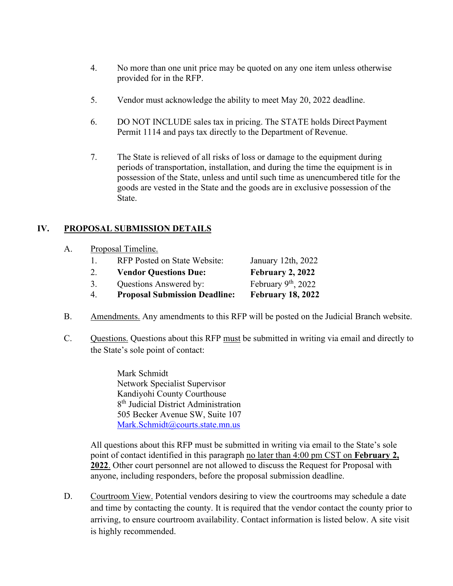- 4. No more than one unit price may be quoted on any one item unless otherwise provided for in the RFP.
- 5. Vendor must acknowledge the ability to meet May 20, 2022 deadline.
- 6. DO NOT INCLUDE sales tax in pricing. The STATE holds Direct Payment Permit 1114 and pays tax directly to the Department of Revenue.
- 7. The State is relieved of all risks of loss or damage to the equipment during periods of transportation, installation, and during the time the equipment is in possession of the State, unless and until such time as unencumbered title for the goods are vested in the State and the goods are in exclusive possession of the State.

# **IV. PROPOSAL SUBMISSION DETAILS**

|    | 4.                 | <b>Proposal Submission Deadline:</b> | <b>February 18, 2022</b> |  |
|----|--------------------|--------------------------------------|--------------------------|--|
|    | 3.                 | Questions Answered by:               | February $9th$ , 2022    |  |
|    | 2.                 | <b>Vendor Questions Due:</b>         | February 2, 2022         |  |
|    | $\mathbf{L}$       | <b>RFP</b> Posted on State Website:  | January 12th, 2022       |  |
| A. | Proposal Timeline. |                                      |                          |  |

- B. Amendments. Any amendments to this RFP will be posted on the Judicial Branch website.
- C. Questions. Questions about this RFP must be submitted in writing via email and directly to the State's sole point of contact:

Mark Schmidt Network Specialist Supervisor Kandiyohi County Courthouse 8<sup>th</sup> Judicial District Administration 505 Becker Avenue SW, Suite 107 [Mark.Schmidt@courts.state.mn.us](mailto:Mark.Schmidt@courts.state.mn.us)

All questions about this RFP must be submitted in writing via email to the State's sole point of contact identified in this paragraph no later than 4:00 pm CST on **February 2, 2022**. Other court personnel are not allowed to discuss the Request for Proposal with anyone, including responders, before the proposal submission deadline.

D. Courtroom View. Potential vendors desiring to view the courtrooms may schedule a date and time by contacting the county. It is required that the vendor contact the county prior to arriving, to ensure courtroom availability. Contact information is listed below. A site visit is highly recommended.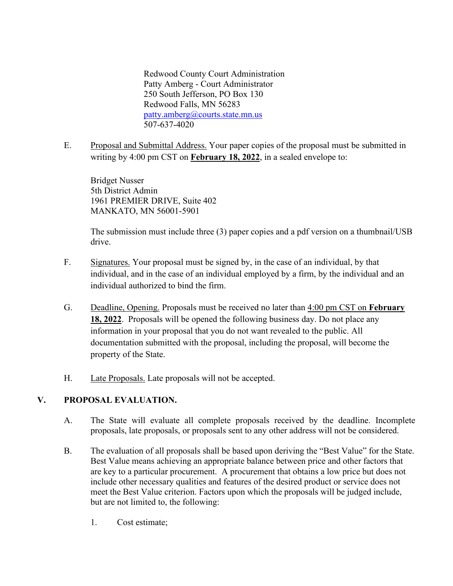Redwood County Court Administration Patty Amberg - Court Administrator 250 South Jefferson, PO Box 130 Redwood Falls, MN 56283 [patty.amberg@courts.state.mn.us](mailto:patty.amberg@courts.state.mn.us) 507-637-4020

E. Proposal and Submittal Address. Your paper copies of the proposal must be submitted in writing by 4:00 pm CST on **February 18, 2022**, in a sealed envelope to:

Bridget Nusser 5th District Admin 1961 PREMIER DRIVE, Suite 402 MANKATO, MN 56001-5901

The submission must include three (3) paper copies and a pdf version on a thumbnail/USB drive.

- F. Signatures. Your proposal must be signed by, in the case of an individual, by that individual, and in the case of an individual employed by a firm, by the individual and an individual authorized to bind the firm.
- G. Deadline, Opening. Proposals must be received no later than 4:00 pm CST on **February 18, 2022**. Proposals will be opened the following business day. Do not place any information in your proposal that you do not want revealed to the public. All documentation submitted with the proposal, including the proposal, will become the property of the State.
- H. Late Proposals. Late proposals will not be accepted.

# **V. PROPOSAL EVALUATION.**

- A. The State will evaluate all complete proposals received by the deadline. Incomplete proposals, late proposals, or proposals sent to any other address will not be considered.
- B. The evaluation of all proposals shall be based upon deriving the "Best Value" for the State. Best Value means achieving an appropriate balance between price and other factors that are key to a particular procurement. A procurement that obtains a low price but does not include other necessary qualities and features of the desired product or service does not meet the Best Value criterion. Factors upon which the proposals will be judged include, but are not limited to, the following:
	- 1. Cost estimate;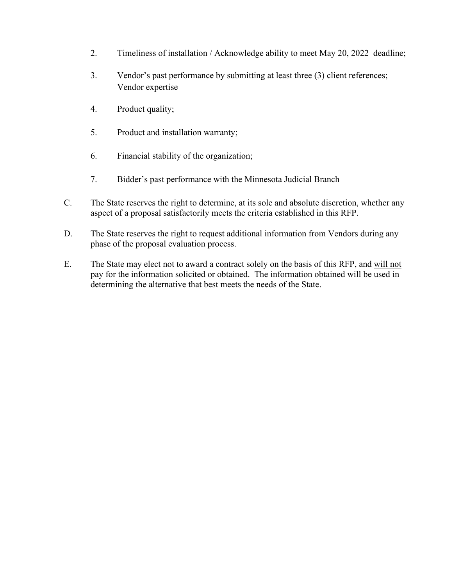- 2. Timeliness of installation / Acknowledge ability to meet May 20, 2022 deadline;
- 3. Vendor's past performance by submitting at least three (3) client references; Vendor expertise
- 4. Product quality;
- 5. Product and installation warranty;
- 6. Financial stability of the organization;
- 7. Bidder's past performance with the Minnesota Judicial Branch
- C. The State reserves the right to determine, at its sole and absolute discretion, whether any aspect of a proposal satisfactorily meets the criteria established in this RFP.
- D. The State reserves the right to request additional information from Vendors during any phase of the proposal evaluation process.
- E. The State may elect not to award a contract solely on the basis of this RFP, and will not pay for the information solicited or obtained. The information obtained will be used in determining the alternative that best meets the needs of the State.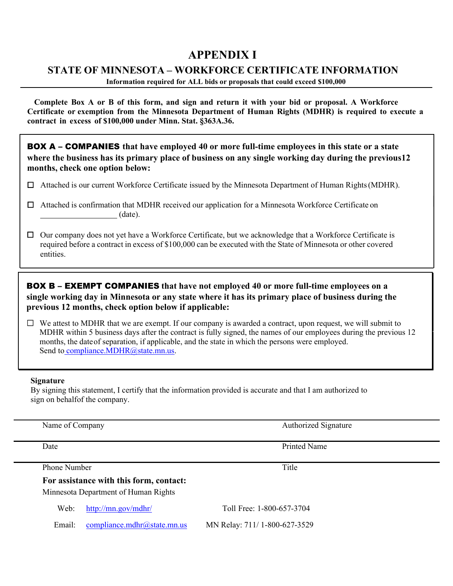# **APPENDIX I**

# **STATE OF MINNESOTA – WORKFORCE CERTIFICATE INFORMATION**

**Information required for ALL bids or proposals that could exceed \$100,000**

Complete Box A or B of this form, and sign and return it with your bid or proposal. A Workforce **Certificate or exemption from the Minnesota Department of Human Rights (MDHR) is required to execute a contract in excess of \$100,000 under Minn. Stat. §363A.36.**

BOX A – COMPANIES **that have employed 40 or more full-time employees in this state or a state where the business has its primary place of business on any single working day during the previous12 months, check one option below:**

- ☐ Attached is our current Workforce Certificate issued by the Minnesota Department of Human Rights(MDHR).
- ☐ Attached is confirmation that MDHR received our application for a Minnesota Workforce Certificate on (date).
- ☐ Our company does not yet have a Workforce Certificate, but we acknowledge that a Workforce Certificate is required before a contract in excess of \$100,000 can be executed with the State of Minnesota or other covered entities.

# BOX B – EXEMPT COMPANIES **that have not employed 40 or more full-time employees on a single working day in Minnesota or any state where it has its primary place of business during the previous 12 months, check option below if applicable:**

 $\Box$  We attest to MDHR that we are exempt. If our company is awarded a contract, upon request, we will submit to MDHR within 5 business days after the contract is fully signed, the names of our employees during the previous 12 months, the dateof separation, if applicable, and the state in which the persons were employed. Send to [compliance.MDHR@state.mn.us.](mailto:compliance.MDHR@state.mn.us)

#### **Signature**

By signing this statement, I certify that the information provided is accurate and that I am authorized to sign on behalfof the company.

|                                                                                 | Name of Company     |  | <b>Authorized Signature</b>  |  |  |
|---------------------------------------------------------------------------------|---------------------|--|------------------------------|--|--|
| Date                                                                            |                     |  | Printed Name                 |  |  |
|                                                                                 | <b>Phone Number</b> |  | Title                        |  |  |
| For assistance with this form, contact:<br>Minnesota Department of Human Rights |                     |  |                              |  |  |
| http://mn.gov/mdhr/<br>Web:                                                     |                     |  | Toll Free: 1-800-657-3704    |  |  |
| compliance.mdhr@state.mn.us<br>Email:                                           |                     |  | MN Relay: 711/1-800-627-3529 |  |  |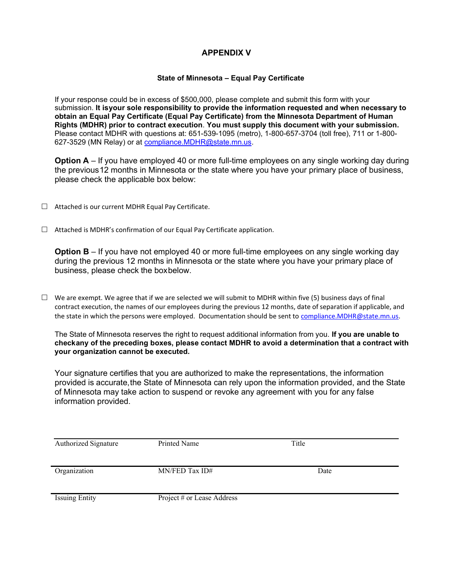## **APPENDIX V**

#### **State of Minnesota – Equal Pay Certificate**

If your response could be in excess of \$500,000, please complete and submit this form with your submission. **It isyour sole responsibility to provide the information requested and when necessary to obtain an Equal Pay Certificate (Equal Pay Certificate) from the Minnesota Department of Human Rights (MDHR) prior to contract execution**. **You must supply this document with your submission.** Please contact MDHR with questions at: 651-539-1095 (metro), 1-800-657-3704 (toll free), 711 or 1-800- 627-3529 (MN Relay) or at [compliance.MDHR@state.mn.us.](mailto:compliance.MDHR@state.mn.us)

**Option A** – If you have employed 40 or more full-time employees on any single working day during the previous12 months in Minnesota or the state where you have your primary place of business, please check the applicable box below:

- $\Box$  Attached is our current MDHR Equal Pay Certificate.
- $\Box$  Attached is MDHR's confirmation of our Equal Pay Certificate application.

**Option B** – If you have not employed 40 or more full-time employees on any single working day during the previous 12 months in Minnesota or the state where you have your primary place of business, please check the boxbelow.

 $\Box$  We are exempt. We agree that if we are selected we will submit to MDHR within five (5) business days of final contract execution, the names of our employees during the previous 12 months, date of separation if applicable, and the state in which the persons were employed. Documentation should be sent to [compliance.MDHR@state.mn.us.](mailto:compliance.MDHR@state.mn.us)

The State of Minnesota reserves the right to request additional information from you. **If you are unable to checkany of the preceding boxes, please contact MDHR to avoid a determination that a contract with your organization cannot be executed.**

Your signature certifies that you are authorized to make the representations, the information provided is accurate,the State of Minnesota can rely upon the information provided, and the State of Minnesota may take action to suspend or revoke any agreement with you for any false information provided.

| Authorized Signature  | Printed Name               | Title |  |
|-----------------------|----------------------------|-------|--|
| Organization          | MN/FED Tax ID#             | Date  |  |
| <b>Issuing Entity</b> | Project # or Lease Address |       |  |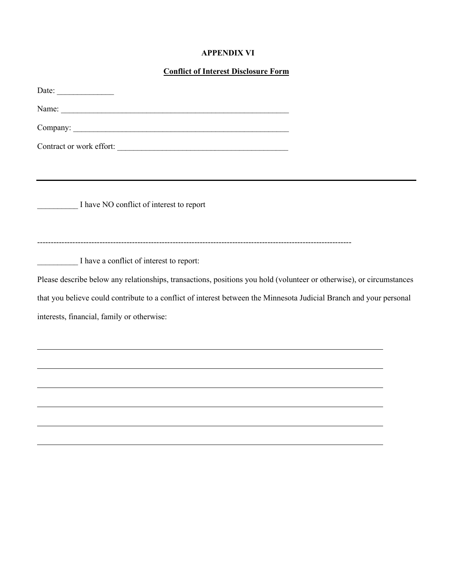#### **APPENDIX VI**

# **Conflict of Interest Disclosure Form**

| Date: $\qquad \qquad$                                                                                                                                             |  |
|-------------------------------------------------------------------------------------------------------------------------------------------------------------------|--|
|                                                                                                                                                                   |  |
|                                                                                                                                                                   |  |
| Contract or work effort:                                                                                                                                          |  |
| I have NO conflict of interest to report                                                                                                                          |  |
| I have a conflict of interest to report:<br>Please describe below any relationships, transactions, positions you hold (volunteer or otherwise), or circumstances  |  |
| that you believe could contribute to a conflict of interest between the Minnesota Judicial Branch and your personal<br>interests, financial, family or otherwise: |  |
|                                                                                                                                                                   |  |
|                                                                                                                                                                   |  |
|                                                                                                                                                                   |  |
|                                                                                                                                                                   |  |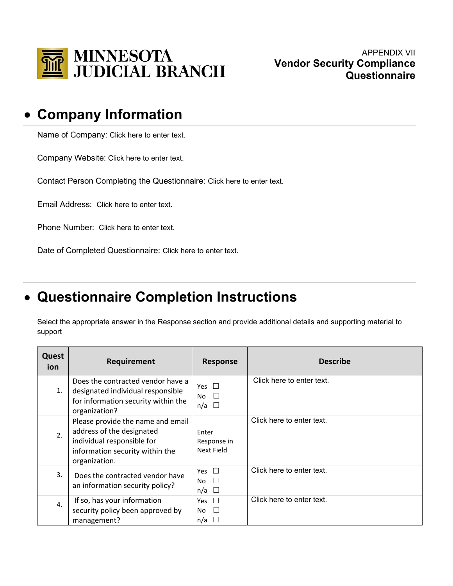

# • **Company Information**

Name of Company: Click here to enter text.

Company Website: Click here to enter text.

Contact Person Completing the Questionnaire: Click here to enter text.

Email Address: Click here to enter text.

Phone Number: Click here to enter text.

Date of Completed Questionnaire: Click here to enter text.

# • **Questionnaire Completion Instructions**

Select the appropriate answer in the Response section and provide additional details and supporting material to support

| Quest<br>ion     | Requirement                                                                                                                                      | <b>Response</b>                                | <b>Describe</b>           |
|------------------|--------------------------------------------------------------------------------------------------------------------------------------------------|------------------------------------------------|---------------------------|
| 1.               | Does the contracted vendor have a<br>designated individual responsible<br>for information security within the<br>organization?                   | Yes $\Box$<br>$\Box$<br>No.<br>$n/a$ $\square$ | Click here to enter text. |
| $\mathfrak{D}$ . | Please provide the name and email<br>address of the designated<br>individual responsible for<br>information security within the<br>organization. | Enter<br>Response in<br>Next Field             | Click here to enter text. |
| 3.               | Does the contracted vendor have<br>an information security policy?                                                                               | Yes $\square$<br>No<br>n/a<br>$\Box$           | Click here to enter text. |
| 4.               | If so, has your information<br>security policy been approved by<br>management?                                                                   | Yes $\square$<br>No<br>$\mathbf{1}$<br>n/a     | Click here to enter text. |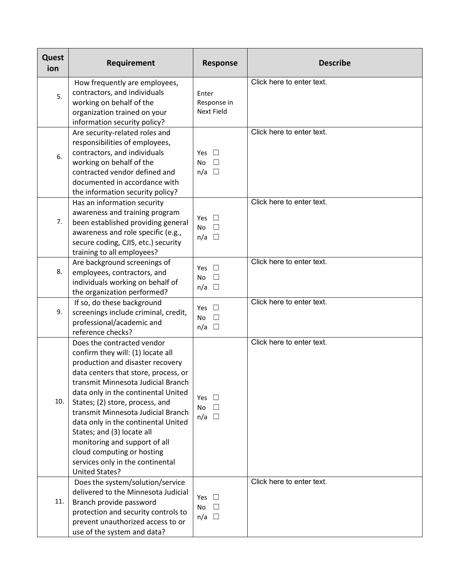| Quest<br>ion | Requirement                                                                                                                                                                                                                                                                                                                                                                                                                                                                                        | <b>Response</b>                                    | <b>Describe</b>           |
|--------------|----------------------------------------------------------------------------------------------------------------------------------------------------------------------------------------------------------------------------------------------------------------------------------------------------------------------------------------------------------------------------------------------------------------------------------------------------------------------------------------------------|----------------------------------------------------|---------------------------|
| 5.           | How frequently are employees,<br>contractors, and individuals<br>working on behalf of the<br>organization trained on your                                                                                                                                                                                                                                                                                                                                                                          | Enter<br>Response in<br><b>Next Field</b>          | Click here to enter text. |
| 6.           | information security policy?<br>Are security-related roles and<br>responsibilities of employees,<br>contractors, and individuals<br>working on behalf of the<br>contracted vendor defined and<br>documented in accordance with<br>the information security policy?                                                                                                                                                                                                                                 | Yes $\square$<br><b>No</b><br>П<br>$n/a$ $\square$ | Click here to enter text. |
| 7.           | Has an information security<br>awareness and training program<br>been established providing general<br>awareness and role specific (e.g.,<br>secure coding, CJIS, etc.) security<br>training to all employees?                                                                                                                                                                                                                                                                                     | Yes $\square$<br><b>No</b><br>$n/a$ $\square$      | Click here to enter text. |
| 8.           | Are background screenings of<br>employees, contractors, and<br>individuals working on behalf of<br>the organization performed?                                                                                                                                                                                                                                                                                                                                                                     | $\Box$<br>Yes<br>$\Box$<br>No<br>$\Box$<br>n/a     | Click here to enter text. |
| 9.           | If so, do these background<br>screenings include criminal, credit,<br>professional/academic and<br>reference checks?                                                                                                                                                                                                                                                                                                                                                                               | Yes<br>$\Box$<br>$\Box$<br>No<br>n/a<br>$\Box$     | Click here to enter text. |
| 10.          | Does the contracted vendor<br>confirm they will: (1) locate all<br>production and disaster recovery<br>data centers that store, process, or<br>transmit Minnesota Judicial Branch<br>data only in the continental United<br>States; (2) store, process, and<br>transmit Minnesota Judicial Branch<br>data only in the continental United<br>States; and (3) locate all<br>monitoring and support of all<br>cloud computing or hosting<br>services only in the continental<br><b>United States?</b> | Yes<br>$\mathbf{L}$<br>No<br>П<br>$n/a$ $\square$  | Click here to enter text. |
| 11.          | Does the system/solution/service<br>delivered to the Minnesota Judicial<br>Branch provide password<br>protection and security controls to<br>prevent unauthorized access to or<br>use of the system and data?                                                                                                                                                                                                                                                                                      | Yes $\Box$<br>No<br>$\Box$<br>$n/a$ $\Box$         | Click here to enter text. |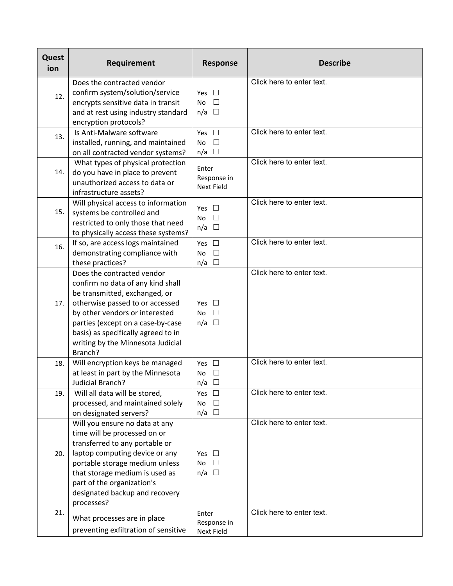| Quest<br>ion | Requirement                                                     | <b>Response</b>     | <b>Describe</b>           |
|--------------|-----------------------------------------------------------------|---------------------|---------------------------|
|              | Does the contracted vendor                                      |                     | Click here to enter text. |
| 12.          | confirm system/solution/service                                 | Yes<br>$\pm$        |                           |
|              | encrypts sensitive data in transit                              | $\Box$<br><b>No</b> |                           |
|              | and at rest using industry standard                             | $n/a$ $\square$     |                           |
|              | encryption protocols?                                           |                     |                           |
| 13.          | Is Anti-Malware software                                        | Yes $\square$       | Click here to enter text. |
|              | installed, running, and maintained                              | $\Box$<br>No        |                           |
|              | on all contracted vendor systems?                               | $n/a$ $\square$     |                           |
|              | What types of physical protection                               | Enter               | Click here to enter text. |
| 14.          | do you have in place to prevent                                 | Response in         |                           |
|              | unauthorized access to data or                                  | <b>Next Field</b>   |                           |
|              | infrastructure assets?                                          |                     | Click here to enter text. |
| 15.          | Will physical access to information                             | Yes<br>$\perp$      |                           |
|              | systems be controlled and<br>restricted to only those that need | No $\square$        |                           |
|              | to physically access these systems?                             | $n/a$ $\square$     |                           |
|              | If so, are access logs maintained                               | Yes $\square$       | Click here to enter text. |
| 16.          | demonstrating compliance with                                   | $\Box$<br><b>No</b> |                           |
|              | these practices?                                                | $n/a$ $\square$     |                           |
|              | Does the contracted vendor                                      |                     | Click here to enter text. |
|              | confirm no data of any kind shall                               |                     |                           |
|              | be transmitted, exchanged, or                                   |                     |                           |
| 17.          | otherwise passed to or accessed                                 | Yes $\square$       |                           |
|              | by other vendors or interested                                  | $\Box$<br><b>No</b> |                           |
|              | parties (except on a case-by-case                               | $\Box$<br>n/a       |                           |
|              | basis) as specifically agreed to in                             |                     |                           |
|              | writing by the Minnesota Judicial                               |                     |                           |
|              | Branch?                                                         |                     |                           |
| 18.          | Will encryption keys be managed                                 | Yes $\square$       | Click here to enter text. |
|              | at least in part by the Minnesota                               | $\Box$<br>No        |                           |
|              | Judicial Branch?                                                | n/a<br>$\Box$       |                           |
| 19.          | Will all data will be stored,                                   | Yes $\square$       | Click here to enter text. |
|              | processed, and maintained solely                                | No<br>$\Box$        |                           |
|              | on designated servers?                                          | $n/a$ $\square$     |                           |
|              | Will you ensure no data at any                                  |                     | Click here to enter text. |
|              | time will be processed on or                                    |                     |                           |
|              | transferred to any portable or                                  |                     |                           |
| 20.          | laptop computing device or any                                  | $\Box$<br>Yes       |                           |
|              | portable storage medium unless                                  | No<br>$\Box$        |                           |
|              | that storage medium is used as                                  | $n/a$ $\square$     |                           |
|              | part of the organization's                                      |                     |                           |
|              | designated backup and recovery                                  |                     |                           |
| 21.          | processes?                                                      | Enter               | Click here to enter text. |
|              | What processes are in place                                     | Response in         |                           |
|              | preventing exfiltration of sensitive                            | <b>Next Field</b>   |                           |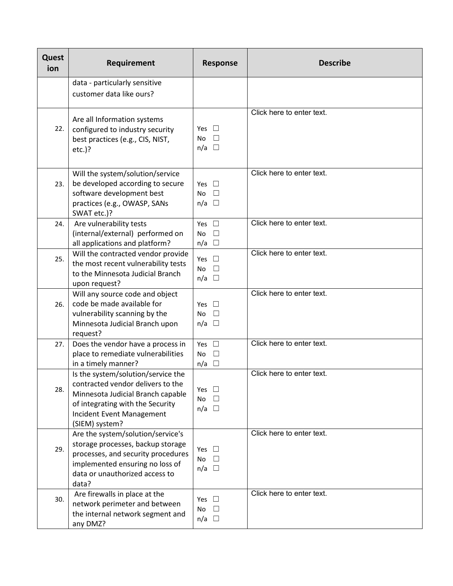| Quest<br>ion | Requirement                                                                                                                                                                                     | <b>Response</b>                                                    | <b>Describe</b>           |
|--------------|-------------------------------------------------------------------------------------------------------------------------------------------------------------------------------------------------|--------------------------------------------------------------------|---------------------------|
|              | data - particularly sensitive                                                                                                                                                                   |                                                                    |                           |
|              | customer data like ours?                                                                                                                                                                        |                                                                    |                           |
| 22.          | Are all Information systems<br>configured to industry security<br>best practices (e.g., CIS, NIST,<br>$etc.$ )?                                                                                 | Yes $\Box$<br>$\Box$<br>No<br>$n/a$ $\square$                      | Click here to enter text. |
| 23.          | Will the system/solution/service<br>be developed according to secure<br>software development best<br>practices (e.g., OWASP, SANs<br>SWAT etc.)?                                                | Yes $\square$<br>No $\square$<br>$n/a$ $\square$                   | Click here to enter text. |
| 24.          | Are vulnerability tests<br>(internal/external) performed on<br>all applications and platform?                                                                                                   | Yes $\square$<br>No<br>$\overline{\phantom{a}}$<br>$n/a$ $\square$ | Click here to enter text. |
| 25.          | Will the contracted vendor provide<br>the most recent vulnerability tests<br>to the Minnesota Judicial Branch<br>upon request?                                                                  | Yes $\square$<br>No<br>$\Box$<br>$n/a$ $\square$                   | Click here to enter text. |
| 26.          | Will any source code and object<br>code be made available for<br>vulnerability scanning by the<br>Minnesota Judicial Branch upon<br>request?                                                    | Yes $\square$<br>No<br>$\Box$<br>$n/a$ $\square$                   | Click here to enter text. |
| 27.          | Does the vendor have a process in<br>place to remediate vulnerabilities<br>in a timely manner?                                                                                                  | Yes $\square$<br><b>No</b><br>$\Box$<br>$n/a$ $\square$            | Click here to enter text. |
| 28.          | Is the system/solution/service the<br>contracted vendor delivers to the<br>Minnesota Judicial Branch capable<br>of integrating with the Security<br>Incident Event Management<br>(SIEM) system? | Yes<br>No<br>$\perp$<br>$n/a$ $\square$                            | Click here to enter text. |
| 29.          | Are the system/solution/service's<br>storage processes, backup storage<br>processes, and security procedures<br>implemented ensuring no loss of<br>data or unauthorized access to<br>data?      | Yes $\Box$<br>No<br>$\Box$<br>$n/a$ $\square$                      | Click here to enter text. |
| 30.          | Are firewalls in place at the<br>network perimeter and between<br>the internal network segment and<br>any DMZ?                                                                                  | Yes $\square$<br>No<br>$\perp$<br>$n/a$ $\square$                  | Click here to enter text. |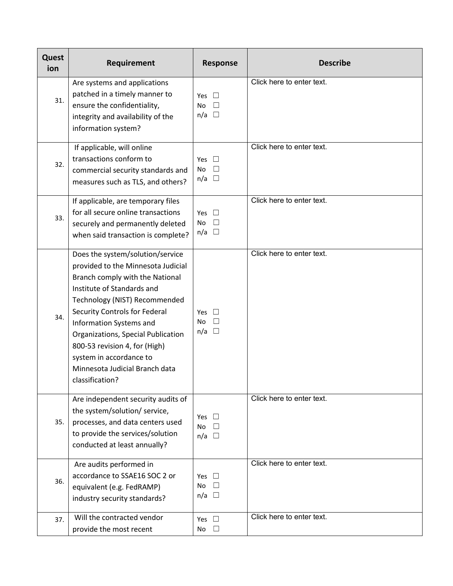| Quest<br>ion | Requirement                                                                                                                                                                                                                                                                                                                                                                                 | <b>Response</b>                                  | <b>Describe</b>           |
|--------------|---------------------------------------------------------------------------------------------------------------------------------------------------------------------------------------------------------------------------------------------------------------------------------------------------------------------------------------------------------------------------------------------|--------------------------------------------------|---------------------------|
| 31.          | Are systems and applications<br>patched in a timely manner to<br>ensure the confidentiality,<br>integrity and availability of the<br>information system?                                                                                                                                                                                                                                    | Yes $\Box$<br><b>No</b><br>$n/a$ $\square$       | Click here to enter text. |
| 32.          | If applicable, will online<br>transactions conform to<br>commercial security standards and<br>measures such as TLS, and others?                                                                                                                                                                                                                                                             | Yes<br>$\Box$<br>No<br>$n/a$ $\square$           | Click here to enter text. |
| 33.          | If applicable, are temporary files<br>for all secure online transactions<br>securely and permanently deleted<br>when said transaction is complete?                                                                                                                                                                                                                                          | Yes<br><b>No</b><br>$\Box$<br>$n/a$ $\square$    | Click here to enter text. |
| 34.          | Does the system/solution/service<br>provided to the Minnesota Judicial<br>Branch comply with the National<br>Institute of Standards and<br>Technology (NIST) Recommended<br>Security Controls for Federal<br>Information Systems and<br>Organizations, Special Publication<br>800-53 revision 4, for (High)<br>system in accordance to<br>Minnesota Judicial Branch data<br>classification? | Yes<br>$\Box$<br>No<br>$\Box$<br>$n/a$ $\square$ | Click here to enter text. |
| 35.          | Are independent security audits of<br>the system/solution/ service,<br>processes, and data centers used<br>to provide the services/solution<br>conducted at least annually?                                                                                                                                                                                                                 | Yes<br><b>No</b><br>П<br>$n/a$ $\square$         | Click here to enter text. |
| 36.          | Are audits performed in<br>accordance to SSAE16 SOC 2 or<br>equivalent (e.g. FedRAMP)<br>industry security standards?                                                                                                                                                                                                                                                                       | Yes<br>$\Box$<br>No<br>$\Box$<br>$n/a$ $\square$ | Click here to enter text. |
| 37.          | Will the contracted vendor<br>provide the most recent                                                                                                                                                                                                                                                                                                                                       | Yes $\square$<br>No<br>$\Box$                    | Click here to enter text. |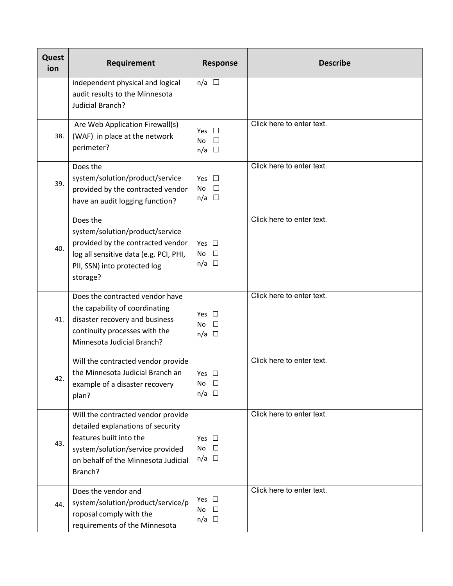| Quest<br>ion | Requirement                                                                                                                                                                              | <b>Response</b>                                  | <b>Describe</b>           |
|--------------|------------------------------------------------------------------------------------------------------------------------------------------------------------------------------------------|--------------------------------------------------|---------------------------|
|              | independent physical and logical<br>audit results to the Minnesota<br>Judicial Branch?                                                                                                   | $n/a$ $\square$                                  |                           |
| 38.          | Are Web Application Firewall(s)<br>(WAF) in place at the network<br>perimeter?                                                                                                           | Yes.<br>No<br>$n/a$ $\square$                    | Click here to enter text. |
| 39.          | Does the<br>system/solution/product/service<br>provided by the contracted vendor<br>have an audit logging function?                                                                      | Yes<br>$\Box$<br>$\Box$<br>No<br>$\Box$<br>n/a   | Click here to enter text. |
| 40.          | Does the<br>system/solution/product/service<br>provided by the contracted vendor<br>log all sensitive data (e.g. PCI, PHI,<br>PII, SSN) into protected log<br>storage?                   | Yes $\square$<br>$\Box$<br>No<br>$n/a$ $\square$ | Click here to enter text. |
| 41.          | Does the contracted vendor have<br>the capability of coordinating<br>disaster recovery and business<br>continuity processes with the<br>Minnesota Judicial Branch?                       | Yes □<br>No<br>$\Box$<br>$n/a$ $\square$         | Click here to enter text. |
| 42.          | Will the contracted vendor provide<br>the Minnesota Judicial Branch an<br>example of a disaster recovery<br>plan?                                                                        | Yes $\square$<br>$\Box$<br>No<br>$n/a$ $\square$ | Click here to enter text. |
| 43.          | Will the contracted vendor provide<br>detailed explanations of security<br>features built into the<br>system/solution/service provided<br>on behalf of the Minnesota Judicial<br>Branch? | Yes $\square$<br>$\Box$<br>No<br>$n/a$ $\square$ | Click here to enter text. |
| 44.          | Does the vendor and<br>system/solution/product/service/p<br>roposal comply with the<br>requirements of the Minnesota                                                                     | Yes $\square$<br>No<br>$\Box$<br>$n/a$ $\square$ | Click here to enter text. |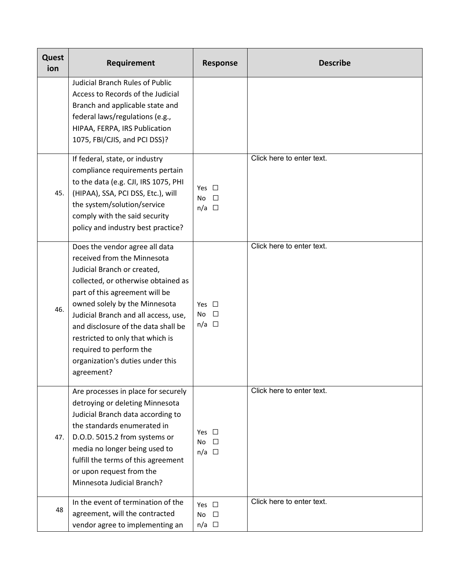| Quest<br>ion | Requirement                                                                                                                                                                                                                                                                                                                                                                                            | <b>Response</b>                                      | <b>Describe</b>           |
|--------------|--------------------------------------------------------------------------------------------------------------------------------------------------------------------------------------------------------------------------------------------------------------------------------------------------------------------------------------------------------------------------------------------------------|------------------------------------------------------|---------------------------|
|              | <b>Judicial Branch Rules of Public</b><br>Access to Records of the Judicial<br>Branch and applicable state and<br>federal laws/regulations (e.g.,<br>HIPAA, FERPA, IRS Publication<br>1075, FBI/CJIS, and PCI DSS)?                                                                                                                                                                                    |                                                      |                           |
| 45.          | If federal, state, or industry<br>compliance requirements pertain<br>to the data (e.g. CJI, IRS 1075, PHI<br>(HIPAA), SSA, PCI DSS, Etc.), will<br>the system/solution/service<br>comply with the said security<br>policy and industry best practice?                                                                                                                                                  | Yes $\Box$<br><b>No</b><br>$\Box$<br>$n/a$ $\square$ | Click here to enter text. |
| 46.          | Does the vendor agree all data<br>received from the Minnesota<br>Judicial Branch or created,<br>collected, or otherwise obtained as<br>part of this agreement will be<br>owned solely by the Minnesota<br>Judicial Branch and all access, use,<br>and disclosure of the data shall be<br>restricted to only that which is<br>required to perform the<br>organization's duties under this<br>agreement? | Yes $\Box$<br>$\Box$<br>No.<br>$n/a$ $\square$       | Click here to enter text. |
| 47.          | Are processes in place for securely<br>detroying or deleting Minnesota<br>Judicial Branch data according to<br>the standards enumerated in<br>D.O.D. 5015.2 from systems or<br>media no longer being used to<br>fulfill the terms of this agreement<br>or upon request from the<br>Minnesota Judicial Branch?                                                                                          | Yes $\square$<br>$\Box$<br>No<br>$n/a$ $\square$     | Click here to enter text. |
| 48           | In the event of termination of the<br>agreement, will the contracted<br>vendor agree to implementing an                                                                                                                                                                                                                                                                                                | Yes $\square$<br><b>No</b><br>$\Box$<br>$n/a$ $\Box$ | Click here to enter text. |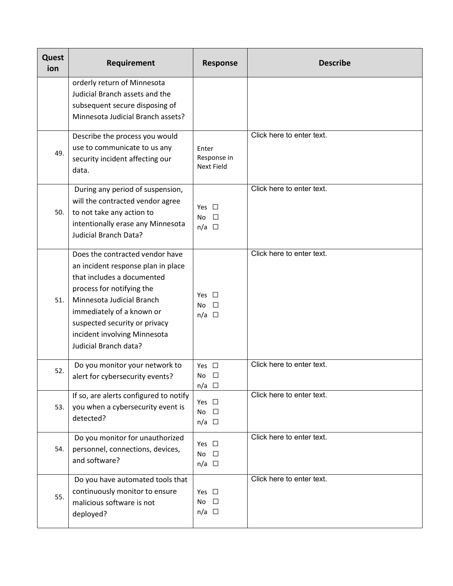| Quest<br>ion | Requirement                                                                                                                                                                                                                                                                          | <b>Response</b>                                   | <b>Describe</b>           |
|--------------|--------------------------------------------------------------------------------------------------------------------------------------------------------------------------------------------------------------------------------------------------------------------------------------|---------------------------------------------------|---------------------------|
|              | orderly return of Minnesota<br>Judicial Branch assets and the<br>subsequent secure disposing of<br>Minnesota Judicial Branch assets?                                                                                                                                                 |                                                   |                           |
| 49.          | Describe the process you would<br>use to communicate to us any<br>security incident affecting our<br>data.                                                                                                                                                                           | Enter<br>Response in<br><b>Next Field</b>         | Click here to enter text. |
| 50.          | During any period of suspension,<br>will the contracted vendor agree<br>to not take any action to<br>intentionally erase any Minnesota<br><b>Judicial Branch Data?</b>                                                                                                               | Yes $\Box$<br>$\Box$<br>No<br>$n/a$ $\square$     | Click here to enter text. |
| 51.          | Does the contracted vendor have<br>an incident response plan in place<br>that includes a documented<br>process for notifying the<br>Minnesota Judicial Branch<br>immediately of a known or<br>suspected security or privacy<br>incident involving Minnesota<br>Judicial Branch data? | Yes $\square$<br>П<br>No<br>$n/a$ $\square$       | Click here to enter text. |
| 52.          | Do you monitor your network to<br>alert for cybersecurity events?                                                                                                                                                                                                                    | Yes $\square$<br>No<br>□<br>$n/a$ $\square$       | Click here to enter text. |
| 53.          | If so, are alerts configured to notify<br>you when a cybersecurity event is<br>detected?                                                                                                                                                                                             | Yes $\square$<br>$\Box$<br>No.<br>$n/a$ $\square$ | Click here to enter text. |
| 54.          | Do you monitor for unauthorized<br>personnel, connections, devices,<br>and software?                                                                                                                                                                                                 | Yes $\square$<br>$\Box$<br>No<br>$n/a$ $\square$  | Click here to enter text. |
| 55.          | Do you have automated tools that<br>continuously monitor to ensure<br>malicious software is not<br>deployed?                                                                                                                                                                         | Yes $\square$<br>No $\square$<br>$n/a$ $\square$  | Click here to enter text. |